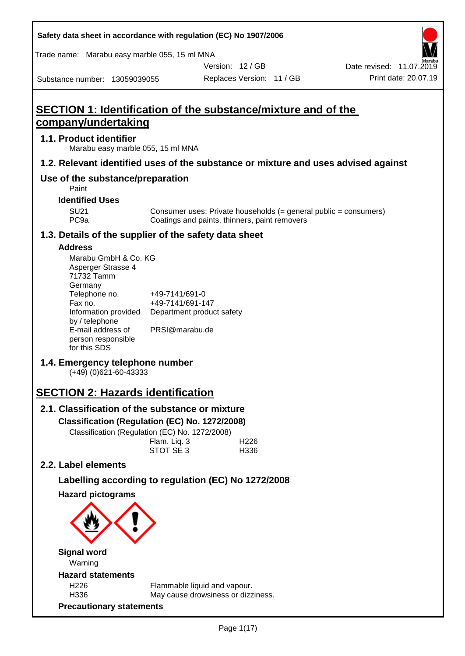| Safety data sheet in accordance with regulation (EC) No 1907/2006                  |                                                                    |                |                           |                                                                  |
|------------------------------------------------------------------------------------|--------------------------------------------------------------------|----------------|---------------------------|------------------------------------------------------------------|
| Trade name: Marabu easy marble 055, 15 ml MNA                                      |                                                                    |                |                           |                                                                  |
|                                                                                    |                                                                    | Version: 12/GB |                           | Date revised: 11.07.2019                                         |
| Substance number: 13059039055                                                      |                                                                    |                | Replaces Version: 11 / GB | Print date: 20.07.19                                             |
|                                                                                    |                                                                    |                |                           |                                                                  |
| <b>SECTION 1: Identification of the substance/mixture and of the</b>               |                                                                    |                |                           |                                                                  |
| company/undertaking                                                                |                                                                    |                |                           |                                                                  |
| 1.1. Product identifier<br>Marabu easy marble 055, 15 ml MNA                       |                                                                    |                |                           |                                                                  |
| 1.2. Relevant identified uses of the substance or mixture and uses advised against |                                                                    |                |                           |                                                                  |
| Use of the substance/preparation<br>Paint                                          |                                                                    |                |                           |                                                                  |
| <b>Identified Uses</b>                                                             |                                                                    |                |                           |                                                                  |
| <b>SU21</b><br>PC <sub>9a</sub>                                                    | Coatings and paints, thinners, paint removers                      |                |                           | Consumer uses: Private households (= general public = consumers) |
| 1.3. Details of the supplier of the safety data sheet                              |                                                                    |                |                           |                                                                  |
| <b>Address</b>                                                                     |                                                                    |                |                           |                                                                  |
| Marabu GmbH & Co. KG                                                               |                                                                    |                |                           |                                                                  |
| Asperger Strasse 4                                                                 |                                                                    |                |                           |                                                                  |
| 71732 Tamm<br>Germany                                                              |                                                                    |                |                           |                                                                  |
| Telephone no.                                                                      | +49-7141/691-0                                                     |                |                           |                                                                  |
| Fax no.                                                                            | +49-7141/691-147                                                   |                |                           |                                                                  |
| Information provided<br>by / telephone                                             | Department product safety                                          |                |                           |                                                                  |
| E-mail address of                                                                  | PRSI@marabu.de                                                     |                |                           |                                                                  |
| person responsible<br>for this SDS                                                 |                                                                    |                |                           |                                                                  |
|                                                                                    |                                                                    |                |                           |                                                                  |
| 1.4. Emergency telephone number<br>$(+49)$ (0)621-60-43333                         |                                                                    |                |                           |                                                                  |
| <b>SECTION 2: Hazards identification</b>                                           |                                                                    |                |                           |                                                                  |
| 2.1. Classification of the substance or mixture                                    |                                                                    |                |                           |                                                                  |
| Classification (Regulation (EC) No. 1272/2008)                                     |                                                                    |                |                           |                                                                  |
| Classification (Regulation (EC) No. 1272/2008)                                     |                                                                    |                |                           |                                                                  |
|                                                                                    | Flam. Liq. 3                                                       |                | H <sub>226</sub>          |                                                                  |
|                                                                                    | STOT SE 3                                                          |                | H336                      |                                                                  |
| 2.2. Label elements                                                                |                                                                    |                |                           |                                                                  |
| Labelling according to regulation (EC) No 1272/2008                                |                                                                    |                |                           |                                                                  |
| <b>Hazard pictograms</b>                                                           |                                                                    |                |                           |                                                                  |
|                                                                                    |                                                                    |                |                           |                                                                  |
|                                                                                    |                                                                    |                |                           |                                                                  |
| <b>Signal word</b><br>Warning                                                      |                                                                    |                |                           |                                                                  |
| <b>Hazard statements</b>                                                           |                                                                    |                |                           |                                                                  |
| H <sub>226</sub><br>H336                                                           | Flammable liquid and vapour.<br>May cause drowsiness or dizziness. |                |                           |                                                                  |
| <b>Precautionary statements</b>                                                    |                                                                    |                |                           |                                                                  |

D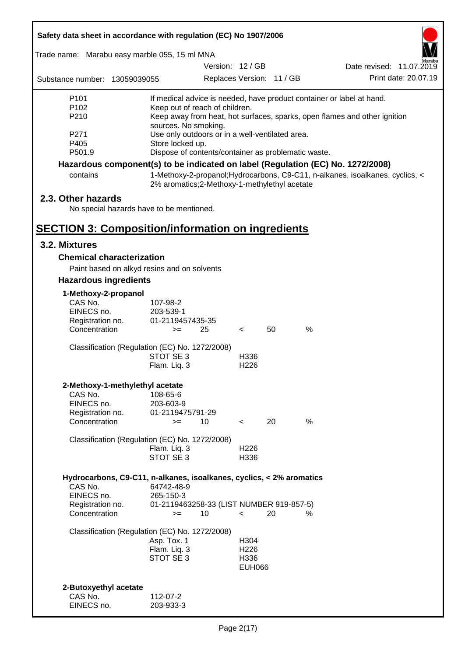| Safety data sheet in accordance with regulation (EC) No 1907/2006                                                                                                                                                             |                                                                                                   |                           |    |      |                          |  |  |
|-------------------------------------------------------------------------------------------------------------------------------------------------------------------------------------------------------------------------------|---------------------------------------------------------------------------------------------------|---------------------------|----|------|--------------------------|--|--|
| Trade name: Marabu easy marble 055, 15 ml MNA                                                                                                                                                                                 |                                                                                                   |                           |    |      |                          |  |  |
|                                                                                                                                                                                                                               |                                                                                                   | Version: 12 / GB          |    |      | Date revised: 11.07.2019 |  |  |
| Substance number: 13059039055                                                                                                                                                                                                 |                                                                                                   | Replaces Version: 11 / GB |    |      | Print date: 20.07.19     |  |  |
| P <sub>101</sub>                                                                                                                                                                                                              | If medical advice is needed, have product container or label at hand.                             |                           |    |      |                          |  |  |
| P102<br>P210                                                                                                                                                                                                                  | Keep out of reach of children.                                                                    |                           |    |      |                          |  |  |
|                                                                                                                                                                                                                               | Keep away from heat, hot surfaces, sparks, open flames and other ignition<br>sources. No smoking. |                           |    |      |                          |  |  |
| P271                                                                                                                                                                                                                          | Use only outdoors or in a well-ventilated area.                                                   |                           |    |      |                          |  |  |
| P405                                                                                                                                                                                                                          | Store locked up.                                                                                  |                           |    |      |                          |  |  |
| P501.9                                                                                                                                                                                                                        | Dispose of contents/container as problematic waste.                                               |                           |    |      |                          |  |  |
| Hazardous component(s) to be indicated on label (Regulation (EC) No. 1272/2008)<br>1-Methoxy-2-propanol; Hydrocarbons, C9-C11, n-alkanes, isoalkanes, cyclics, <<br>contains<br>2% aromatics; 2-Methoxy-1-methylethyl acetate |                                                                                                   |                           |    |      |                          |  |  |
| 2.3. Other hazards                                                                                                                                                                                                            |                                                                                                   |                           |    |      |                          |  |  |
| No special hazards have to be mentioned.                                                                                                                                                                                      |                                                                                                   |                           |    |      |                          |  |  |
|                                                                                                                                                                                                                               |                                                                                                   |                           |    |      |                          |  |  |
| <b>SECTION 3: Composition/information on ingredients</b>                                                                                                                                                                      |                                                                                                   |                           |    |      |                          |  |  |
| 3.2. Mixtures                                                                                                                                                                                                                 |                                                                                                   |                           |    |      |                          |  |  |
| <b>Chemical characterization</b>                                                                                                                                                                                              |                                                                                                   |                           |    |      |                          |  |  |
|                                                                                                                                                                                                                               | Paint based on alkyd resins and on solvents                                                       |                           |    |      |                          |  |  |
| <b>Hazardous ingredients</b>                                                                                                                                                                                                  |                                                                                                   |                           |    |      |                          |  |  |
| 1-Methoxy-2-propanol                                                                                                                                                                                                          |                                                                                                   |                           |    |      |                          |  |  |
| CAS No.                                                                                                                                                                                                                       | 107-98-2                                                                                          |                           |    |      |                          |  |  |
| EINECS no.                                                                                                                                                                                                                    | 203-539-1                                                                                         |                           |    |      |                          |  |  |
| Registration no.<br>Concentration                                                                                                                                                                                             | 01-2119457435-35<br>25<br>$>=$                                                                    | $\overline{\phantom{a}}$  | 50 | %    |                          |  |  |
|                                                                                                                                                                                                                               |                                                                                                   |                           |    |      |                          |  |  |
|                                                                                                                                                                                                                               | Classification (Regulation (EC) No. 1272/2008)                                                    |                           |    |      |                          |  |  |
|                                                                                                                                                                                                                               | STOT SE 3                                                                                         | H336                      |    |      |                          |  |  |
|                                                                                                                                                                                                                               | Flam. Liq. 3                                                                                      | H <sub>226</sub>          |    |      |                          |  |  |
| 2-Methoxy-1-methylethyl acetate                                                                                                                                                                                               |                                                                                                   |                           |    |      |                          |  |  |
| CAS No.                                                                                                                                                                                                                       | 108-65-6                                                                                          |                           |    |      |                          |  |  |
| EINECS no.                                                                                                                                                                                                                    | 203-603-9                                                                                         |                           |    |      |                          |  |  |
| Registration no.                                                                                                                                                                                                              | 01-2119475791-29                                                                                  |                           |    |      |                          |  |  |
| Concentration                                                                                                                                                                                                                 | 10<br>$>=$                                                                                        | $\overline{\phantom{a}}$  | 20 | %    |                          |  |  |
|                                                                                                                                                                                                                               | Classification (Regulation (EC) No. 1272/2008)                                                    |                           |    |      |                          |  |  |
|                                                                                                                                                                                                                               | Flam. Liq. 3                                                                                      | H <sub>226</sub>          |    |      |                          |  |  |
|                                                                                                                                                                                                                               | STOT SE 3                                                                                         | H336                      |    |      |                          |  |  |
| Hydrocarbons, C9-C11, n-alkanes, isoalkanes, cyclics, < 2% aromatics                                                                                                                                                          |                                                                                                   |                           |    |      |                          |  |  |
| CAS No.                                                                                                                                                                                                                       | 64742-48-9                                                                                        |                           |    |      |                          |  |  |
| EINECS no.                                                                                                                                                                                                                    | 265-150-3                                                                                         |                           |    |      |                          |  |  |
| Registration no.                                                                                                                                                                                                              | 01-2119463258-33 (LIST NUMBER 919-857-5)                                                          |                           |    |      |                          |  |  |
| Concentration                                                                                                                                                                                                                 | 10<br>$>=$                                                                                        | $\overline{\phantom{0}}$  | 20 | $\%$ |                          |  |  |
|                                                                                                                                                                                                                               | Classification (Regulation (EC) No. 1272/2008)                                                    |                           |    |      |                          |  |  |
|                                                                                                                                                                                                                               | Asp. Tox. 1                                                                                       | H304                      |    |      |                          |  |  |
|                                                                                                                                                                                                                               | Flam. Liq. 3                                                                                      | H <sub>226</sub>          |    |      |                          |  |  |
|                                                                                                                                                                                                                               | STOT SE 3                                                                                         | H336                      |    |      |                          |  |  |
|                                                                                                                                                                                                                               |                                                                                                   | <b>EUH066</b>             |    |      |                          |  |  |
|                                                                                                                                                                                                                               |                                                                                                   |                           |    |      |                          |  |  |
| 2-Butoxyethyl acetate<br>CAS No.                                                                                                                                                                                              | 112-07-2                                                                                          |                           |    |      |                          |  |  |
| EINECS no.                                                                                                                                                                                                                    | 203-933-3                                                                                         |                           |    |      |                          |  |  |
|                                                                                                                                                                                                                               |                                                                                                   |                           |    |      |                          |  |  |

ī

Г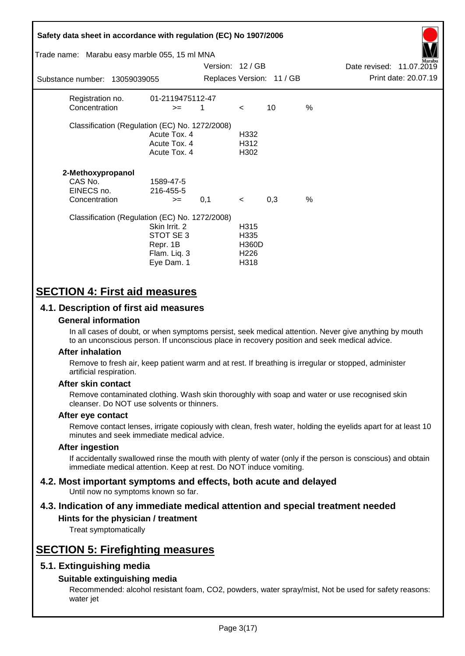| Safety data sheet in accordance with regulation (EC) No 1907/2006<br>Trade name: Marabu easy marble 055, 15 ml MNA |                                                                      | Version: 12 / GB |                                                                      |                           |               | Date revised: 11.07.2019 | Aarabu               |
|--------------------------------------------------------------------------------------------------------------------|----------------------------------------------------------------------|------------------|----------------------------------------------------------------------|---------------------------|---------------|--------------------------|----------------------|
| Substance number: 13059039055                                                                                      |                                                                      |                  |                                                                      | Replaces Version: 11 / GB |               |                          | Print date: 20.07.19 |
| Registration no.<br>Concentration                                                                                  | 01-2119475112-47<br>$>=$                                             | 1                | $\lt$                                                                | 10                        | $\frac{0}{0}$ |                          |                      |
| Classification (Regulation (EC) No. 1272/2008)                                                                     | Acute Tox. 4<br>Acute Tox. 4<br>Acute Tox. 4                         |                  | H332<br>H312<br>H302                                                 |                           |               |                          |                      |
| 2-Methoxypropanol<br>CAS No.<br>EINECS no.<br>Concentration                                                        | 1589-47-5<br>216-455-5<br>$>=$                                       | 0,1              | $\prec$                                                              | 0,3                       | $\%$          |                          |                      |
| Classification (Regulation (EC) No. 1272/2008)                                                                     | Skin Irrit, 2<br>STOT SE 3<br>Repr. 1B<br>Flam. Liq. 3<br>Eye Dam. 1 |                  | H <sub>315</sub><br>H335<br><b>H360D</b><br>H <sub>226</sub><br>H318 |                           |               |                          |                      |

# **SECTION 4: First aid measures**

# **4.1. Description of first aid measures**

# **General information**

In all cases of doubt, or when symptoms persist, seek medical attention. Never give anything by mouth to an unconscious person. If unconscious place in recovery position and seek medical advice.

## **After inhalation**

Remove to fresh air, keep patient warm and at rest. If breathing is irregular or stopped, administer artificial respiration.

## **After skin contact**

Remove contaminated clothing. Wash skin thoroughly with soap and water or use recognised skin cleanser. Do NOT use solvents or thinners.

## **After eye contact**

Remove contact lenses, irrigate copiously with clean, fresh water, holding the eyelids apart for at least 10 minutes and seek immediate medical advice.

## **After ingestion**

If accidentally swallowed rinse the mouth with plenty of water (only if the person is conscious) and obtain immediate medical attention. Keep at rest. Do NOT induce vomiting.

#### **4.2. Most important symptoms and effects, both acute and delayed** Until now no symptoms known so far.

# **4.3. Indication of any immediate medical attention and special treatment needed**

# **Hints for the physician / treatment**

Treat symptomatically

# **SECTION 5: Firefighting measures**

# **5.1. Extinguishing media**

# **Suitable extinguishing media**

Recommended: alcohol resistant foam, CO2, powders, water spray/mist, Not be used for safety reasons: water jet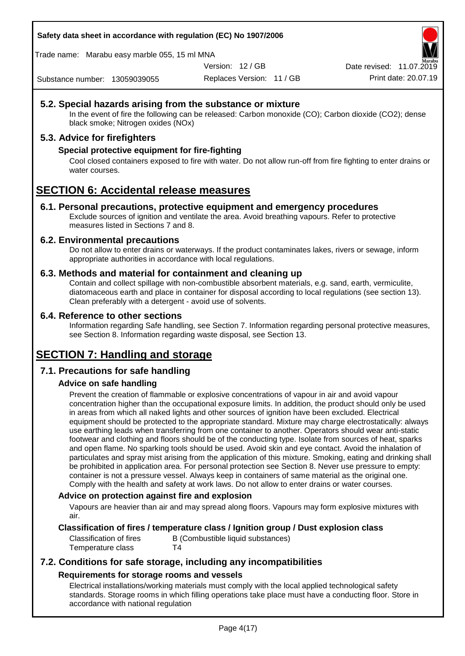**Safety data sheet in accordance with regulation (EC) No 1907/2006**

Trade name: Marabu easy marble 055, 15 ml MNA

Version: 12 / GB

Replaces Version: 11 / GB Print date: 20.07.19 Date revised: 11.07.2019

Substance number: 13059039055

# **5.2. Special hazards arising from the substance or mixture**

In the event of fire the following can be released: Carbon monoxide (CO); Carbon dioxide (CO2); dense black smoke; Nitrogen oxides (NOx)

# **5.3. Advice for firefighters**

# **Special protective equipment for fire-fighting**

Cool closed containers exposed to fire with water. Do not allow run-off from fire fighting to enter drains or water courses.

# **SECTION 6: Accidental release measures**

# **6.1. Personal precautions, protective equipment and emergency procedures**

Exclude sources of ignition and ventilate the area. Avoid breathing vapours. Refer to protective measures listed in Sections 7 and 8.

# **6.2. Environmental precautions**

Do not allow to enter drains or waterways. If the product contaminates lakes, rivers or sewage, inform appropriate authorities in accordance with local regulations.

# **6.3. Methods and material for containment and cleaning up**

Contain and collect spillage with non-combustible absorbent materials, e.g. sand, earth, vermiculite, diatomaceous earth and place in container for disposal according to local regulations (see section 13). Clean preferably with a detergent - avoid use of solvents.

# **6.4. Reference to other sections**

Information regarding Safe handling, see Section 7. Information regarding personal protective measures, see Section 8. Information regarding waste disposal, see Section 13.

# **SECTION 7: Handling and storage**

# **7.1. Precautions for safe handling**

# **Advice on safe handling**

Prevent the creation of flammable or explosive concentrations of vapour in air and avoid vapour concentration higher than the occupational exposure limits. In addition, the product should only be used in areas from which all naked lights and other sources of ignition have been excluded. Electrical equipment should be protected to the appropriate standard. Mixture may charge electrostatically: always use earthing leads when transferring from one container to another. Operators should wear anti-static footwear and clothing and floors should be of the conducting type. Isolate from sources of heat, sparks and open flame. No sparking tools should be used. Avoid skin and eye contact. Avoid the inhalation of particulates and spray mist arising from the application of this mixture. Smoking, eating and drinking shall be prohibited in application area. For personal protection see Section 8. Never use pressure to empty: container is not a pressure vessel. Always keep in containers of same material as the original one. Comply with the health and safety at work laws. Do not allow to enter drains or water courses.

# **Advice on protection against fire and explosion**

Vapours are heavier than air and may spread along floors. Vapours may form explosive mixtures with air.

# **Classification of fires / temperature class / Ignition group / Dust explosion class**

Temperature class T4

Classification of fires B (Combustible liquid substances)

# **7.2. Conditions for safe storage, including any incompatibilities Requirements for storage rooms and vessels**

Electrical installations/working materials must comply with the local applied technological safety standards. Storage rooms in which filling operations take place must have a conducting floor. Store in accordance with national regulation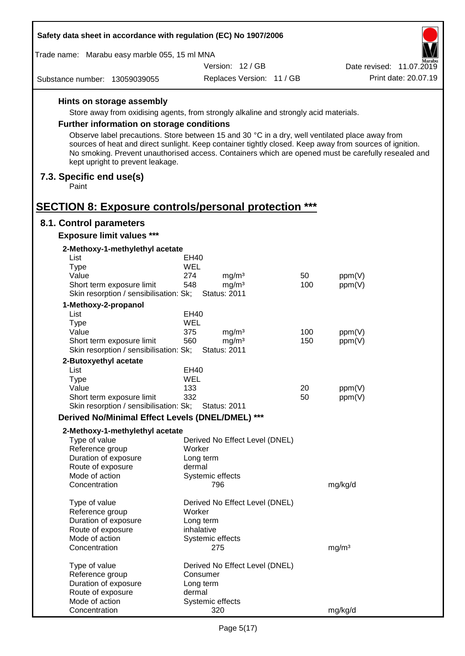| Safety data sheet in accordance with regulation (EC) No 1907/2006                               |            |                                        |            |                                                                                                                                                                                                                |  |
|-------------------------------------------------------------------------------------------------|------------|----------------------------------------|------------|----------------------------------------------------------------------------------------------------------------------------------------------------------------------------------------------------------------|--|
| Trade name: Marabu easy marble 055, 15 ml MNA                                                   |            |                                        |            |                                                                                                                                                                                                                |  |
|                                                                                                 |            | Version: 12/GB                         |            | Aarabu<br>Date revised: 11.07.2019                                                                                                                                                                             |  |
| Substance number: 13059039055                                                                   |            | Replaces Version: 11 / GB              |            | Print date: 20.07.19                                                                                                                                                                                           |  |
| Hints on storage assembly                                                                       |            |                                        |            |                                                                                                                                                                                                                |  |
| Store away from oxidising agents, from strongly alkaline and strongly acid materials.           |            |                                        |            |                                                                                                                                                                                                                |  |
| <b>Further information on storage conditions</b>                                                |            |                                        |            |                                                                                                                                                                                                                |  |
| Observe label precautions. Store between 15 and 30 °C in a dry, well ventilated place away from |            |                                        |            |                                                                                                                                                                                                                |  |
| kept upright to prevent leakage.                                                                |            |                                        |            | sources of heat and direct sunlight. Keep container tightly closed. Keep away from sources of ignition.<br>No smoking. Prevent unauthorised access. Containers which are opened must be carefully resealed and |  |
| 7.3. Specific end use(s)<br>Paint                                                               |            |                                        |            |                                                                                                                                                                                                                |  |
| <b>SECTION 8: Exposure controls/personal protection ***</b>                                     |            |                                        |            |                                                                                                                                                                                                                |  |
| 8.1. Control parameters                                                                         |            |                                        |            |                                                                                                                                                                                                                |  |
| <b>Exposure limit values ***</b>                                                                |            |                                        |            |                                                                                                                                                                                                                |  |
| 2-Methoxy-1-methylethyl acetate<br>List                                                         | EH40       |                                        |            |                                                                                                                                                                                                                |  |
| <b>Type</b>                                                                                     | WEL        |                                        |            |                                                                                                                                                                                                                |  |
| Value                                                                                           | 274        | mg/m <sup>3</sup>                      | 50         | ppm(V)                                                                                                                                                                                                         |  |
| Short term exposure limit                                                                       | 548        | mg/m <sup>3</sup>                      | 100        | ppm(V)                                                                                                                                                                                                         |  |
| Skin resorption / sensibilisation: Sk;                                                          |            | <b>Status: 2011</b>                    |            |                                                                                                                                                                                                                |  |
| 1-Methoxy-2-propanol                                                                            |            |                                        |            |                                                                                                                                                                                                                |  |
| List                                                                                            | EH40       |                                        |            |                                                                                                                                                                                                                |  |
| <b>Type</b>                                                                                     | WEL        |                                        |            |                                                                                                                                                                                                                |  |
| Value<br>Short term exposure limit                                                              | 375<br>560 | mg/m <sup>3</sup><br>mg/m <sup>3</sup> | 100<br>150 | ppm(V)<br>ppm(V)                                                                                                                                                                                               |  |
| Skin resorption / sensibilisation: Sk;                                                          |            | <b>Status: 2011</b>                    |            |                                                                                                                                                                                                                |  |
| 2-Butoxyethyl acetate                                                                           |            |                                        |            |                                                                                                                                                                                                                |  |
| List                                                                                            | EH40       |                                        |            |                                                                                                                                                                                                                |  |
| Type                                                                                            | WEL        |                                        |            |                                                                                                                                                                                                                |  |
| Value                                                                                           | 133        |                                        | 20         | ppm(V)                                                                                                                                                                                                         |  |
| Short term exposure limit                                                                       | 332        |                                        | 50         | ppm(V)                                                                                                                                                                                                         |  |
| Skin resorption / sensibilisation: Sk;                                                          |            | <b>Status: 2011</b>                    |            |                                                                                                                                                                                                                |  |
| Derived No/Minimal Effect Levels (DNEL/DMEL) ***                                                |            |                                        |            |                                                                                                                                                                                                                |  |
| 2-Methoxy-1-methylethyl acetate                                                                 |            |                                        |            |                                                                                                                                                                                                                |  |
| Type of value                                                                                   |            | Derived No Effect Level (DNEL)         |            |                                                                                                                                                                                                                |  |
| Reference group<br>Duration of exposure                                                         |            | Worker<br>Long term                    |            |                                                                                                                                                                                                                |  |
| Route of exposure                                                                               | dermal     |                                        |            |                                                                                                                                                                                                                |  |
| Mode of action                                                                                  |            | Systemic effects                       |            |                                                                                                                                                                                                                |  |
| Concentration                                                                                   |            | 796                                    |            | mg/kg/d                                                                                                                                                                                                        |  |
| Type of value                                                                                   |            | Derived No Effect Level (DNEL)         |            |                                                                                                                                                                                                                |  |
| Reference group                                                                                 |            | Worker                                 |            |                                                                                                                                                                                                                |  |
| Duration of exposure                                                                            |            | Long term                              |            |                                                                                                                                                                                                                |  |
| Route of exposure                                                                               |            | inhalative                             |            |                                                                                                                                                                                                                |  |
| Mode of action<br>Concentration                                                                 |            | Systemic effects<br>275                |            | mg/m <sup>3</sup>                                                                                                                                                                                              |  |
| Type of value                                                                                   |            | Derived No Effect Level (DNEL)         |            |                                                                                                                                                                                                                |  |
| Reference group                                                                                 |            | Consumer                               |            |                                                                                                                                                                                                                |  |
| Duration of exposure                                                                            |            | Long term                              |            |                                                                                                                                                                                                                |  |
| Route of exposure                                                                               | dermal     |                                        |            |                                                                                                                                                                                                                |  |
| Mode of action                                                                                  |            | Systemic effects                       |            |                                                                                                                                                                                                                |  |
| Concentration                                                                                   |            | 320                                    |            | mg/kg/d                                                                                                                                                                                                        |  |

 $\Gamma$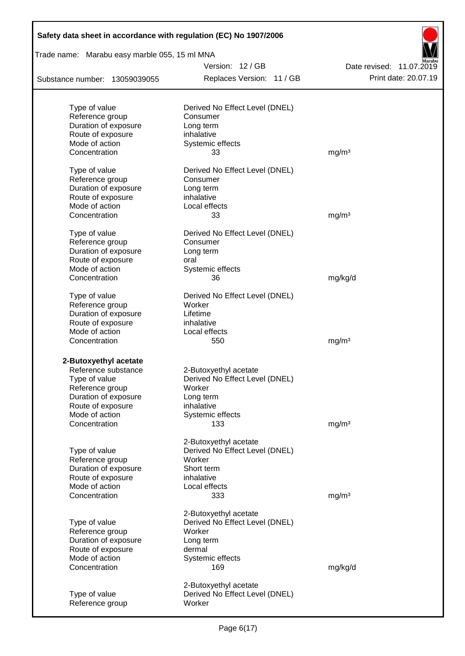| Safety data sheet in accordance with regulation (EC) No 1907/2006 |                                                         |                                                  |
|-------------------------------------------------------------------|---------------------------------------------------------|--------------------------------------------------|
| Trade name: Marabu easy marble 055, 15 ml MNA                     |                                                         |                                                  |
| Substance number: 13059039055                                     | Version: 12/GB<br>Replaces Version: 11 / GB             | Date revised: 11.07.2019<br>Print date: 20.07.19 |
|                                                                   |                                                         |                                                  |
| Type of value                                                     | Derived No Effect Level (DNEL)                          |                                                  |
| Reference group                                                   | Consumer                                                |                                                  |
| Duration of exposure                                              | Long term                                               |                                                  |
| Route of exposure                                                 | inhalative                                              |                                                  |
| Mode of action                                                    | Systemic effects                                        |                                                  |
| Concentration                                                     | 33                                                      | mg/m <sup>3</sup>                                |
| Type of value                                                     | Derived No Effect Level (DNEL)                          |                                                  |
| Reference group                                                   | Consumer                                                |                                                  |
| Duration of exposure                                              | Long term                                               |                                                  |
| Route of exposure                                                 | inhalative                                              |                                                  |
| Mode of action                                                    | Local effects                                           |                                                  |
| Concentration                                                     | 33                                                      | mg/m <sup>3</sup>                                |
| Type of value                                                     | Derived No Effect Level (DNEL)                          |                                                  |
| Reference group                                                   | Consumer                                                |                                                  |
| Duration of exposure                                              | Long term                                               |                                                  |
| Route of exposure                                                 | oral                                                    |                                                  |
| Mode of action                                                    | Systemic effects                                        |                                                  |
| Concentration                                                     | 36                                                      | mg/kg/d                                          |
| Type of value                                                     | Derived No Effect Level (DNEL)                          |                                                  |
| Reference group                                                   | Worker                                                  |                                                  |
| Duration of exposure                                              | Lifetime                                                |                                                  |
| Route of exposure                                                 | inhalative                                              |                                                  |
| Mode of action                                                    | Local effects                                           |                                                  |
| Concentration                                                     | 550                                                     | mg/m <sup>3</sup>                                |
| 2-Butoxyethyl acetate                                             |                                                         |                                                  |
| Reference substance                                               | 2-Butoxyethyl acetate                                   |                                                  |
| Type of value                                                     | Derived No Effect Level (DNEL)                          |                                                  |
| Reference group                                                   | Worker                                                  |                                                  |
| Duration of exposure                                              | Long term                                               |                                                  |
| Route of exposure                                                 | inhalative                                              |                                                  |
| Mode of action                                                    | Systemic effects                                        |                                                  |
| Concentration                                                     | 133                                                     | mg/m <sup>3</sup>                                |
|                                                                   | 2-Butoxyethyl acetate                                   |                                                  |
| Type of value                                                     | Derived No Effect Level (DNEL)                          |                                                  |
| Reference group                                                   | Worker                                                  |                                                  |
| Duration of exposure                                              | Short term                                              |                                                  |
| Route of exposure                                                 | inhalative                                              |                                                  |
| Mode of action                                                    | Local effects                                           |                                                  |
| Concentration                                                     | 333                                                     | mg/m <sup>3</sup>                                |
|                                                                   | 2-Butoxyethyl acetate                                   |                                                  |
| Type of value                                                     | Derived No Effect Level (DNEL)                          |                                                  |
| Reference group                                                   | Worker                                                  |                                                  |
| Duration of exposure                                              | Long term                                               |                                                  |
| Route of exposure                                                 | dermal                                                  |                                                  |
| Mode of action                                                    | Systemic effects                                        |                                                  |
| Concentration                                                     | 169                                                     | mg/kg/d                                          |
|                                                                   |                                                         |                                                  |
| Type of value                                                     | 2-Butoxyethyl acetate<br>Derived No Effect Level (DNEL) |                                                  |
| Reference group                                                   | Worker                                                  |                                                  |
|                                                                   |                                                         |                                                  |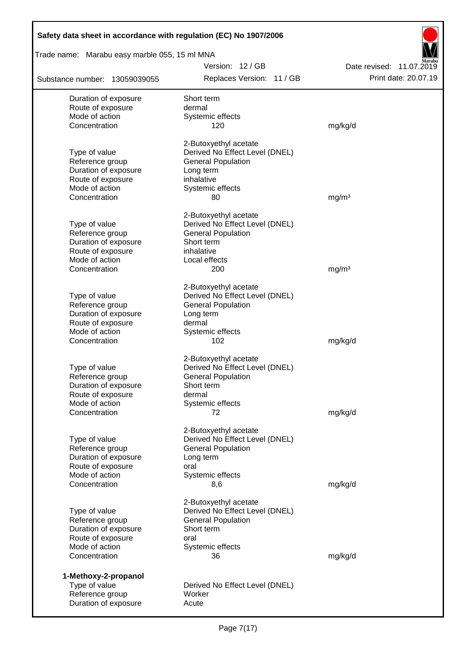| Safety data sheet in accordance with regulation (EC) No 1907/2006 |                                                             |                          |  |  |  |  |
|-------------------------------------------------------------------|-------------------------------------------------------------|--------------------------|--|--|--|--|
| Trade name: Marabu easy marble 055, 15 ml MNA                     |                                                             |                          |  |  |  |  |
|                                                                   | Version: 12/GB                                              | Date revised: 11.07.2019 |  |  |  |  |
| Substance number: 13059039055                                     | Replaces Version: 11 / GB                                   | Print date: 20.07.19     |  |  |  |  |
| Duration of exposure                                              | Short term                                                  |                          |  |  |  |  |
| Route of exposure                                                 | dermal                                                      |                          |  |  |  |  |
| Mode of action                                                    | Systemic effects                                            |                          |  |  |  |  |
| Concentration                                                     | 120                                                         | mg/kg/d                  |  |  |  |  |
|                                                                   | 2-Butoxyethyl acetate                                       |                          |  |  |  |  |
| Type of value                                                     | Derived No Effect Level (DNEL)                              |                          |  |  |  |  |
| Reference group                                                   | <b>General Population</b>                                   |                          |  |  |  |  |
| Duration of exposure<br>Route of exposure                         | Long term<br>inhalative                                     |                          |  |  |  |  |
| Mode of action                                                    | Systemic effects                                            |                          |  |  |  |  |
| Concentration                                                     | 80                                                          | mg/m <sup>3</sup>        |  |  |  |  |
|                                                                   |                                                             |                          |  |  |  |  |
|                                                                   | 2-Butoxyethyl acetate                                       |                          |  |  |  |  |
| Type of value                                                     | Derived No Effect Level (DNEL)                              |                          |  |  |  |  |
| Reference group                                                   | <b>General Population</b>                                   |                          |  |  |  |  |
| Duration of exposure<br>Route of exposure                         | Short term<br>inhalative                                    |                          |  |  |  |  |
| Mode of action                                                    | Local effects                                               |                          |  |  |  |  |
| Concentration                                                     | 200                                                         | mg/m <sup>3</sup>        |  |  |  |  |
|                                                                   |                                                             |                          |  |  |  |  |
|                                                                   | 2-Butoxyethyl acetate                                       |                          |  |  |  |  |
| Type of value                                                     | Derived No Effect Level (DNEL)                              |                          |  |  |  |  |
| Reference group                                                   | <b>General Population</b>                                   |                          |  |  |  |  |
| Duration of exposure<br>Route of exposure                         | Long term<br>dermal                                         |                          |  |  |  |  |
| Mode of action                                                    | Systemic effects                                            |                          |  |  |  |  |
| Concentration                                                     | 102                                                         | mg/kg/d                  |  |  |  |  |
|                                                                   | 2-Butoxyethyl acetate                                       |                          |  |  |  |  |
| Type of value                                                     | Derived No Effect Level (DNEL)                              |                          |  |  |  |  |
| Reference group                                                   | <b>General Population</b>                                   |                          |  |  |  |  |
| Duration of exposure                                              | Short term                                                  |                          |  |  |  |  |
| Route of exposure                                                 | dermal                                                      |                          |  |  |  |  |
| Mode of action                                                    | Systemic effects                                            |                          |  |  |  |  |
| Concentration                                                     | 72                                                          | mg/kg/d                  |  |  |  |  |
|                                                                   | 2-Butoxyethyl acetate                                       |                          |  |  |  |  |
| Type of value                                                     | Derived No Effect Level (DNEL)                              |                          |  |  |  |  |
| Reference group                                                   | <b>General Population</b>                                   |                          |  |  |  |  |
| Duration of exposure                                              | Long term                                                   |                          |  |  |  |  |
| Route of exposure                                                 | oral                                                        |                          |  |  |  |  |
| Mode of action<br>Concentration                                   | Systemic effects<br>8,6                                     | mg/kg/d                  |  |  |  |  |
|                                                                   |                                                             |                          |  |  |  |  |
|                                                                   | 2-Butoxyethyl acetate                                       |                          |  |  |  |  |
| Type of value<br>Reference group                                  | Derived No Effect Level (DNEL)<br><b>General Population</b> |                          |  |  |  |  |
| Duration of exposure                                              | Short term                                                  |                          |  |  |  |  |
| Route of exposure                                                 | oral                                                        |                          |  |  |  |  |
| Mode of action                                                    | Systemic effects                                            |                          |  |  |  |  |
| Concentration                                                     | 36                                                          | mg/kg/d                  |  |  |  |  |
| 1-Methoxy-2-propanol                                              |                                                             |                          |  |  |  |  |
| Type of value                                                     | Derived No Effect Level (DNEL)                              |                          |  |  |  |  |
| Reference group                                                   | Worker                                                      |                          |  |  |  |  |
| Duration of exposure                                              | Acute                                                       |                          |  |  |  |  |
|                                                                   |                                                             |                          |  |  |  |  |

Ī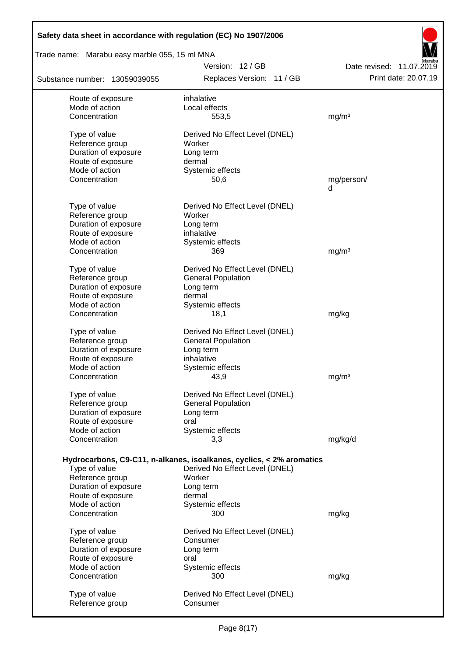| Safety data sheet in accordance with regulation (EC) No 1907/2006 |                                                                      |                          |
|-------------------------------------------------------------------|----------------------------------------------------------------------|--------------------------|
| Trade name: Marabu easy marble 055, 15 ml MNA                     |                                                                      |                          |
|                                                                   | Version: 12/GB                                                       | Date revised: 11.07.2019 |
| Substance number: 13059039055                                     | Replaces Version: 11 / GB                                            | Print date: 20.07.19     |
| Route of exposure                                                 | inhalative                                                           |                          |
| Mode of action                                                    | Local effects                                                        |                          |
| Concentration                                                     | 553,5                                                                | mg/m <sup>3</sup>        |
| Type of value                                                     | Derived No Effect Level (DNEL)                                       |                          |
| Reference group                                                   | Worker                                                               |                          |
| Duration of exposure                                              | Long term                                                            |                          |
| Route of exposure                                                 | dermal                                                               |                          |
| Mode of action                                                    | Systemic effects                                                     |                          |
| Concentration                                                     | 50,6                                                                 | mg/person/<br>d          |
| Type of value                                                     | Derived No Effect Level (DNEL)                                       |                          |
| Reference group                                                   | Worker                                                               |                          |
| Duration of exposure                                              | Long term                                                            |                          |
| Route of exposure                                                 | inhalative                                                           |                          |
| Mode of action                                                    | Systemic effects                                                     |                          |
| Concentration                                                     | 369                                                                  | mg/m <sup>3</sup>        |
| Type of value                                                     | Derived No Effect Level (DNEL)                                       |                          |
| Reference group                                                   | <b>General Population</b>                                            |                          |
| Duration of exposure                                              | Long term                                                            |                          |
| Route of exposure                                                 | dermal                                                               |                          |
| Mode of action                                                    | Systemic effects                                                     |                          |
| Concentration                                                     | 18,1                                                                 | mg/kg                    |
| Type of value                                                     | Derived No Effect Level (DNEL)                                       |                          |
| Reference group                                                   | <b>General Population</b>                                            |                          |
| Duration of exposure                                              | Long term                                                            |                          |
| Route of exposure                                                 | inhalative                                                           |                          |
| Mode of action                                                    | Systemic effects                                                     |                          |
| Concentration                                                     | 43,9                                                                 | mg/m <sup>3</sup>        |
| Type of value                                                     | Derived No Effect Level (DNEL)                                       |                          |
| Reference group                                                   | <b>General Population</b>                                            |                          |
| Duration of exposure                                              | Long term                                                            |                          |
| Route of exposure                                                 | oral                                                                 |                          |
| Mode of action                                                    | Systemic effects                                                     |                          |
| Concentration                                                     | 3,3                                                                  | mg/kg/d                  |
|                                                                   | Hydrocarbons, C9-C11, n-alkanes, isoalkanes, cyclics, < 2% aromatics |                          |
| Type of value                                                     | Derived No Effect Level (DNEL)                                       |                          |
| Reference group                                                   | Worker                                                               |                          |
| Duration of exposure                                              | Long term                                                            |                          |
| Route of exposure                                                 | dermal                                                               |                          |
| Mode of action                                                    | Systemic effects                                                     |                          |
| Concentration                                                     | 300                                                                  | mg/kg                    |
| Type of value                                                     | Derived No Effect Level (DNEL)                                       |                          |
| Reference group                                                   | Consumer                                                             |                          |
| Duration of exposure                                              | Long term                                                            |                          |
| Route of exposure                                                 | oral                                                                 |                          |
| Mode of action                                                    | Systemic effects                                                     |                          |
| Concentration                                                     | 300                                                                  | mg/kg                    |
| Type of value                                                     | Derived No Effect Level (DNEL)                                       |                          |
| Reference group                                                   | Consumer                                                             |                          |
|                                                                   |                                                                      |                          |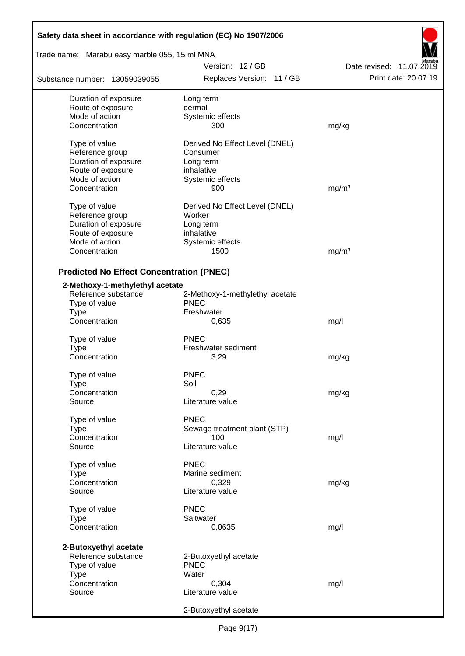| Safety data sheet in accordance with regulation (EC) No 1907/2006 |                                 |                          |  |  |  |
|-------------------------------------------------------------------|---------------------------------|--------------------------|--|--|--|
| Trade name: Marabu easy marble 055, 15 ml MNA                     |                                 |                          |  |  |  |
|                                                                   | Version: 12/GB                  | Date revised: 11.07.2019 |  |  |  |
| Substance number: 13059039055                                     | Replaces Version: 11 / GB       | Print date: 20.07.19     |  |  |  |
| Duration of exposure                                              | Long term                       |                          |  |  |  |
| Route of exposure                                                 | dermal                          |                          |  |  |  |
| Mode of action                                                    | Systemic effects                |                          |  |  |  |
| Concentration                                                     | 300                             | mg/kg                    |  |  |  |
| Type of value                                                     | Derived No Effect Level (DNEL)  |                          |  |  |  |
| Reference group                                                   | Consumer                        |                          |  |  |  |
| Duration of exposure                                              | Long term                       |                          |  |  |  |
| Route of exposure                                                 | inhalative                      |                          |  |  |  |
| Mode of action                                                    | Systemic effects                |                          |  |  |  |
| Concentration                                                     | 900                             | mg/m <sup>3</sup>        |  |  |  |
| Type of value                                                     | Derived No Effect Level (DNEL)  |                          |  |  |  |
| Reference group                                                   | Worker                          |                          |  |  |  |
| Duration of exposure                                              | Long term                       |                          |  |  |  |
| Route of exposure                                                 | inhalative                      |                          |  |  |  |
| Mode of action                                                    | Systemic effects                |                          |  |  |  |
| Concentration                                                     | 1500                            | mg/m <sup>3</sup>        |  |  |  |
| <b>Predicted No Effect Concentration (PNEC)</b>                   |                                 |                          |  |  |  |
| 2-Methoxy-1-methylethyl acetate                                   |                                 |                          |  |  |  |
| Reference substance                                               | 2-Methoxy-1-methylethyl acetate |                          |  |  |  |
| Type of value                                                     | <b>PNEC</b>                     |                          |  |  |  |
| <b>Type</b>                                                       | Freshwater                      |                          |  |  |  |
| Concentration                                                     | 0,635                           | mg/l                     |  |  |  |
|                                                                   |                                 |                          |  |  |  |
| Type of value                                                     | <b>PNEC</b>                     |                          |  |  |  |
| Type<br>Concentration                                             | Freshwater sediment<br>3,29     |                          |  |  |  |
|                                                                   |                                 | mg/kg                    |  |  |  |
| Type of value                                                     | <b>PNEC</b>                     |                          |  |  |  |
| Type                                                              | Soil                            |                          |  |  |  |
| Concentration                                                     | 0,29                            | mg/kg                    |  |  |  |
| Source                                                            | Literature value                |                          |  |  |  |
| Type of value                                                     | <b>PNEC</b>                     |                          |  |  |  |
| <b>Type</b>                                                       | Sewage treatment plant (STP)    |                          |  |  |  |
| Concentration                                                     | 100                             | mg/l                     |  |  |  |
| Source                                                            | Literature value                |                          |  |  |  |
| Type of value                                                     | <b>PNEC</b>                     |                          |  |  |  |
| Type                                                              | Marine sediment                 |                          |  |  |  |
| Concentration                                                     | 0,329                           | mg/kg                    |  |  |  |
| Source                                                            | Literature value                |                          |  |  |  |
| Type of value                                                     | <b>PNEC</b>                     |                          |  |  |  |
| <b>Type</b>                                                       | Saltwater                       |                          |  |  |  |
| Concentration                                                     | 0,0635                          | mg/l                     |  |  |  |
|                                                                   |                                 |                          |  |  |  |
| 2-Butoxyethyl acetate                                             |                                 |                          |  |  |  |
| Reference substance                                               | 2-Butoxyethyl acetate           |                          |  |  |  |
| Type of value                                                     | <b>PNEC</b><br>Water            |                          |  |  |  |
| <b>Type</b><br>Concentration                                      | 0,304                           | mg/l                     |  |  |  |
| Source                                                            | Literature value                |                          |  |  |  |
|                                                                   |                                 |                          |  |  |  |
|                                                                   | 2-Butoxyethyl acetate           |                          |  |  |  |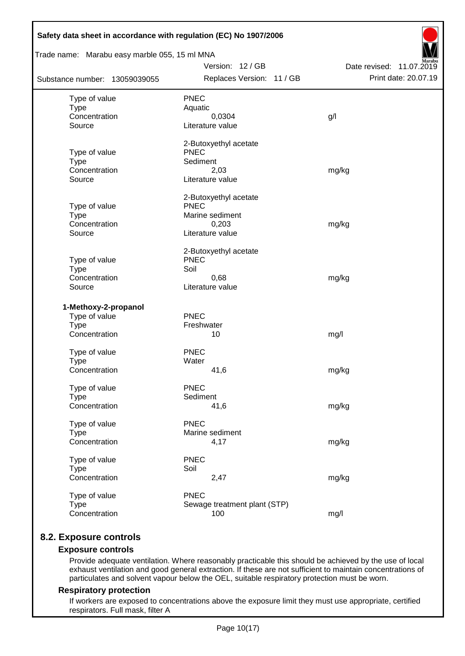| Trade name: Marabu easy marble 055, 15 ml MNA |                                      |                          |  |  |  |  |  |
|-----------------------------------------------|--------------------------------------|--------------------------|--|--|--|--|--|
|                                               | Version: 12 / GB                     | Date revised: 11.07.2019 |  |  |  |  |  |
| Substance number: 13059039055                 | Replaces Version: 11 / GB            | Print date: 20.07.19     |  |  |  |  |  |
| Type of value                                 | <b>PNEC</b>                          |                          |  |  |  |  |  |
| <b>Type</b>                                   | Aquatic                              |                          |  |  |  |  |  |
| Concentration                                 | 0,0304                               | g/l                      |  |  |  |  |  |
| Source                                        | Literature value                     |                          |  |  |  |  |  |
|                                               | 2-Butoxyethyl acetate                |                          |  |  |  |  |  |
| Type of value                                 | <b>PNEC</b>                          |                          |  |  |  |  |  |
| <b>Type</b><br>Concentration                  | Sediment<br>2,03                     |                          |  |  |  |  |  |
| Source                                        | Literature value                     | mg/kg                    |  |  |  |  |  |
|                                               |                                      |                          |  |  |  |  |  |
| Type of value                                 | 2-Butoxyethyl acetate<br><b>PNEC</b> |                          |  |  |  |  |  |
| <b>Type</b>                                   | Marine sediment                      |                          |  |  |  |  |  |
| Concentration                                 | 0,203                                | mg/kg                    |  |  |  |  |  |
| Source                                        | Literature value                     |                          |  |  |  |  |  |
|                                               | 2-Butoxyethyl acetate                |                          |  |  |  |  |  |
| Type of value                                 | <b>PNEC</b>                          |                          |  |  |  |  |  |
| <b>Type</b>                                   | Soil                                 |                          |  |  |  |  |  |
| Concentration                                 | 0,68                                 | mg/kg                    |  |  |  |  |  |
| Source                                        | Literature value                     |                          |  |  |  |  |  |
| 1-Methoxy-2-propanol                          |                                      |                          |  |  |  |  |  |
| Type of value                                 | PNEC                                 |                          |  |  |  |  |  |
| <b>Type</b>                                   | Freshwater                           |                          |  |  |  |  |  |
| Concentration                                 | 10                                   | mg/l                     |  |  |  |  |  |
| Type of value                                 | <b>PNEC</b>                          |                          |  |  |  |  |  |
| <b>Type</b>                                   | Water                                |                          |  |  |  |  |  |
| Concentration                                 | 41,6                                 | mg/kg                    |  |  |  |  |  |
| Type of value                                 | <b>PNEC</b>                          |                          |  |  |  |  |  |
| <b>Type</b>                                   | Sediment                             |                          |  |  |  |  |  |
| Concentration                                 | 41,6                                 | mg/kg                    |  |  |  |  |  |
| Type of value                                 | PNEC                                 |                          |  |  |  |  |  |
| <b>Type</b>                                   | Marine sediment                      |                          |  |  |  |  |  |
| Concentration                                 | 4,17                                 | mg/kg                    |  |  |  |  |  |
| Type of value                                 | <b>PNEC</b>                          |                          |  |  |  |  |  |
| <b>Type</b>                                   | Soil                                 |                          |  |  |  |  |  |
| Concentration                                 | 2,47                                 | mg/kg                    |  |  |  |  |  |
| Type of value                                 | <b>PNEC</b>                          |                          |  |  |  |  |  |
|                                               |                                      |                          |  |  |  |  |  |
| <b>Type</b><br>Concentration                  | Sewage treatment plant (STP)<br>100  | mg/l                     |  |  |  |  |  |

# **8.2. Exposure controls**

## **Exposure controls**

Provide adequate ventilation. Where reasonably practicable this should be achieved by the use of local exhaust ventilation and good general extraction. If these are not sufficient to maintain concentrations of particulates and solvent vapour below the OEL, suitable respiratory protection must be worn.

## **Respiratory protection**

If workers are exposed to concentrations above the exposure limit they must use appropriate, certified respirators. Full mask, filter A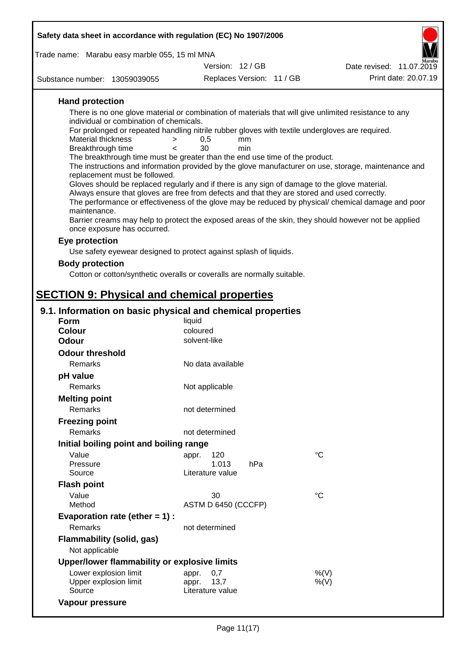| Safety data sheet in accordance with regulation (EC) No 1907/2006                                                     |                           |                           |                                                                                                      |
|-----------------------------------------------------------------------------------------------------------------------|---------------------------|---------------------------|------------------------------------------------------------------------------------------------------|
| Trade name: Marabu easy marble 055, 15 ml MNA                                                                         |                           |                           |                                                                                                      |
|                                                                                                                       | Version: 12 / GB          |                           | Date revised: 11.07.2019                                                                             |
| Substance number: 13059039055                                                                                         |                           | Replaces Version: 11 / GB | Print date: 20.07.19                                                                                 |
| <b>Hand protection</b>                                                                                                |                           |                           |                                                                                                      |
| There is no one glove material or combination of materials that will give unlimited resistance to any                 |                           |                           |                                                                                                      |
| individual or combination of chemicals.                                                                               |                           |                           |                                                                                                      |
| For prolonged or repeated handling nitrile rubber gloves with textile undergloves are required.<br>Material thickness | 0,5<br>mm<br>>            |                           |                                                                                                      |
| Breakthrough time                                                                                                     | 30<br>min<br>$\epsilon$   |                           |                                                                                                      |
| The breakthrough time must be greater than the end use time of the product.                                           |                           |                           |                                                                                                      |
| replacement must be followed.                                                                                         |                           |                           | The instructions and information provided by the glove manufacturer on use, storage, maintenance and |
| Gloves should be replaced regularly and if there is any sign of damage to the glove material.                         |                           |                           |                                                                                                      |
| Always ensure that gloves are free from defects and that they are stored and used correctly.                          |                           |                           |                                                                                                      |
| maintenance.                                                                                                          |                           |                           | The performance or effectiveness of the glove may be reduced by physical/ chemical damage and poor   |
| once exposure has occurred.                                                                                           |                           |                           | Barrier creams may help to protect the exposed areas of the skin, they should however not be applied |
| Eye protection                                                                                                        |                           |                           |                                                                                                      |
| Use safety eyewear designed to protect against splash of liquids.                                                     |                           |                           |                                                                                                      |
| <b>Body protection</b>                                                                                                |                           |                           |                                                                                                      |
| Cotton or cotton/synthetic overalls or coveralls are normally suitable.                                               |                           |                           |                                                                                                      |
|                                                                                                                       |                           |                           |                                                                                                      |
| <b>SECTION 9: Physical and chemical properties</b>                                                                    |                           |                           |                                                                                                      |
| 9.1. Information on basic physical and chemical properties                                                            |                           |                           |                                                                                                      |
| <b>Form</b><br><b>Colour</b>                                                                                          | liquid<br>coloured        |                           |                                                                                                      |
| <b>Odour</b>                                                                                                          | solvent-like              |                           |                                                                                                      |
| <b>Odour threshold</b>                                                                                                |                           |                           |                                                                                                      |
| Remarks                                                                                                               | No data available         |                           |                                                                                                      |
| pH value                                                                                                              |                           |                           |                                                                                                      |
| Remarks                                                                                                               | Not applicable            |                           |                                                                                                      |
| <b>Melting point</b>                                                                                                  |                           |                           |                                                                                                      |
| Remarks                                                                                                               | not determined            |                           |                                                                                                      |
| <b>Freezing point</b>                                                                                                 |                           |                           |                                                                                                      |
| Remarks                                                                                                               | not determined            |                           |                                                                                                      |
| Initial boiling point and boiling range                                                                               |                           |                           |                                                                                                      |
| Value                                                                                                                 | 120<br>appr.              |                           | $^{\circ}C$                                                                                          |
| Pressure                                                                                                              | 1.013                     | hPa                       |                                                                                                      |
| Source                                                                                                                | Literature value          |                           |                                                                                                      |
| <b>Flash point</b>                                                                                                    |                           |                           |                                                                                                      |
| Value<br>Method                                                                                                       | 30<br>ASTM D 6450 (CCCFP) |                           | $^{\circ}C$                                                                                          |
| Evaporation rate (ether $= 1$ ) :                                                                                     |                           |                           |                                                                                                      |
| Remarks                                                                                                               | not determined            |                           |                                                                                                      |
| <b>Flammability (solid, gas)</b>                                                                                      |                           |                           |                                                                                                      |
| Not applicable                                                                                                        |                           |                           |                                                                                                      |
| Upper/lower flammability or explosive limits                                                                          |                           |                           |                                                                                                      |
| Lower explosion limit                                                                                                 | 0,7<br>appr.              |                           | %(V)                                                                                                 |
| Upper explosion limit                                                                                                 | 13,7<br>appr.             |                           | %(V)                                                                                                 |
| Source                                                                                                                | Literature value          |                           |                                                                                                      |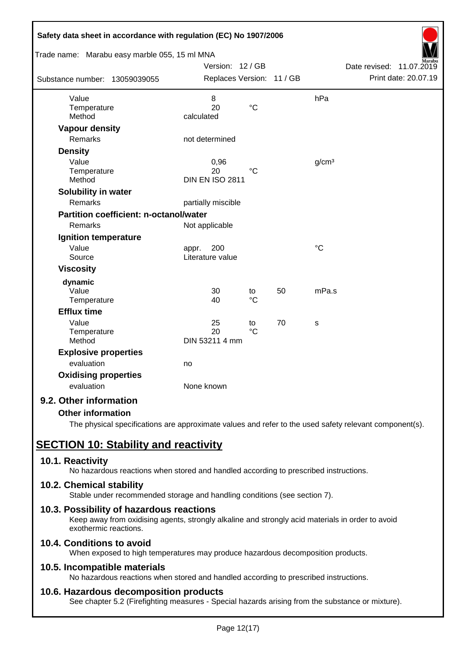| Safety data sheet in accordance with regulation (EC) No 1907/2006 |                                  |                 |    |                   |                             |
|-------------------------------------------------------------------|----------------------------------|-----------------|----|-------------------|-----------------------------|
| Trade name: Marabu easy marble 055, 15 ml MNA                     |                                  |                 |    |                   |                             |
|                                                                   | Version: 12 / GB                 |                 |    |                   | Date revised:<br>11.07.2019 |
| Substance number: 13059039055                                     | Replaces Version: 11 / GB        |                 |    |                   | Print date: 20.07.19        |
| Value                                                             | 8                                |                 |    | hPa               |                             |
| Temperature                                                       | 20                               | $\rm ^{\circ}C$ |    |                   |                             |
| Method                                                            | calculated                       |                 |    |                   |                             |
| <b>Vapour density</b>                                             |                                  |                 |    |                   |                             |
| <b>Remarks</b>                                                    | not determined                   |                 |    |                   |                             |
| <b>Density</b>                                                    |                                  |                 |    |                   |                             |
| Value                                                             | 0,96                             |                 |    | g/cm <sup>3</sup> |                             |
| Temperature<br>Method                                             | 20<br><b>DIN EN ISO 2811</b>     | $^{\circ}C$     |    |                   |                             |
| Solubility in water                                               |                                  |                 |    |                   |                             |
| Remarks                                                           | partially miscible               |                 |    |                   |                             |
| <b>Partition coefficient: n-octanol/water</b>                     |                                  |                 |    |                   |                             |
| Remarks                                                           |                                  |                 |    |                   |                             |
|                                                                   | Not applicable                   |                 |    |                   |                             |
| Ignition temperature<br>Value                                     |                                  |                 |    | $\rm ^{\circ}C$   |                             |
| Source                                                            | 200<br>appr.<br>Literature value |                 |    |                   |                             |
| <b>Viscosity</b>                                                  |                                  |                 |    |                   |                             |
|                                                                   |                                  |                 |    |                   |                             |
| dynamic<br>Value                                                  | 30                               | to              | 50 | mPa.s             |                             |
| Temperature                                                       | 40                               | $\rm ^{\circ}C$ |    |                   |                             |
| <b>Efflux time</b>                                                |                                  |                 |    |                   |                             |
| Value                                                             | 25                               | to              | 70 | S                 |                             |
| Temperature                                                       | 20                               | $\rm ^{\circ}C$ |    |                   |                             |
| Method                                                            | DIN 53211 4 mm                   |                 |    |                   |                             |
| <b>Explosive properties</b>                                       |                                  |                 |    |                   |                             |
| evaluation                                                        | no                               |                 |    |                   |                             |
| <b>Oxidising properties</b>                                       |                                  |                 |    |                   |                             |
| evaluation                                                        | None known                       |                 |    |                   |                             |
| 9.2. Other information                                            |                                  |                 |    |                   |                             |

# **Other information**

The physical specifications are approximate values and refer to the used safety relevant component(s).

# **SECTION 10: Stability and reactivity**

# **10.1. Reactivity**

No hazardous reactions when stored and handled according to prescribed instructions.

# **10.2. Chemical stability**

Stable under recommended storage and handling conditions (see section 7).

# **10.3. Possibility of hazardous reactions**

Keep away from oxidising agents, strongly alkaline and strongly acid materials in order to avoid exothermic reactions.

# **10.4. Conditions to avoid**

When exposed to high temperatures may produce hazardous decomposition products.

# **10.5. Incompatible materials**

No hazardous reactions when stored and handled according to prescribed instructions.

# **10.6. Hazardous decomposition products**

See chapter 5.2 (Firefighting measures - Special hazards arising from the substance or mixture).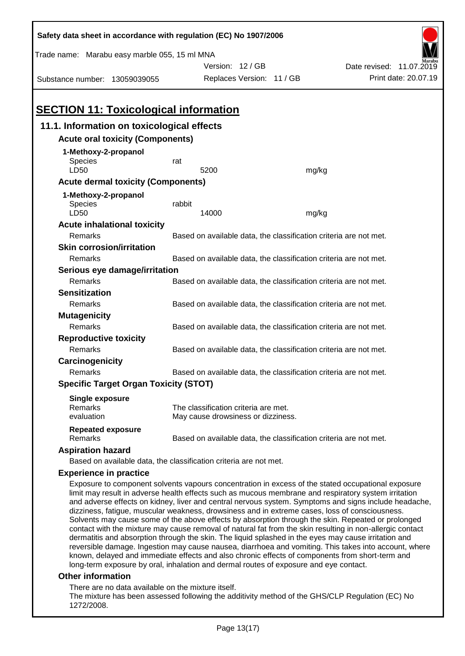| Safety data sheet in accordance with regulation (EC) No 1907/2006                                                                                                                                                                                                                                                                                                                                                                                                                                                                                                                                                                                                                                                                                                                 |                                                                                      |                                                                            |                                   |                          |  |  |
|-----------------------------------------------------------------------------------------------------------------------------------------------------------------------------------------------------------------------------------------------------------------------------------------------------------------------------------------------------------------------------------------------------------------------------------------------------------------------------------------------------------------------------------------------------------------------------------------------------------------------------------------------------------------------------------------------------------------------------------------------------------------------------------|--------------------------------------------------------------------------------------|----------------------------------------------------------------------------|-----------------------------------|--------------------------|--|--|
| Trade name: Marabu easy marble 055, 15 ml MNA                                                                                                                                                                                                                                                                                                                                                                                                                                                                                                                                                                                                                                                                                                                                     |                                                                                      |                                                                            |                                   |                          |  |  |
|                                                                                                                                                                                                                                                                                                                                                                                                                                                                                                                                                                                                                                                                                                                                                                                   |                                                                                      | Version: 12 / GB                                                           |                                   | Date revised: 11.07.2019 |  |  |
| Substance number: 13059039055                                                                                                                                                                                                                                                                                                                                                                                                                                                                                                                                                                                                                                                                                                                                                     |                                                                                      | Replaces Version: 11 / GB                                                  |                                   | Print date: 20.07.19     |  |  |
|                                                                                                                                                                                                                                                                                                                                                                                                                                                                                                                                                                                                                                                                                                                                                                                   |                                                                                      |                                                                            |                                   |                          |  |  |
| <b>SECTION 11: Toxicological information</b>                                                                                                                                                                                                                                                                                                                                                                                                                                                                                                                                                                                                                                                                                                                                      |                                                                                      |                                                                            |                                   |                          |  |  |
| 11.1. Information on toxicological effects                                                                                                                                                                                                                                                                                                                                                                                                                                                                                                                                                                                                                                                                                                                                        |                                                                                      |                                                                            |                                   |                          |  |  |
| <b>Acute oral toxicity (Components)</b>                                                                                                                                                                                                                                                                                                                                                                                                                                                                                                                                                                                                                                                                                                                                           |                                                                                      |                                                                            |                                   |                          |  |  |
| 1-Methoxy-2-propanol<br><b>Species</b><br>LD50                                                                                                                                                                                                                                                                                                                                                                                                                                                                                                                                                                                                                                                                                                                                    | rat                                                                                  | 5200                                                                       | mg/kg                             |                          |  |  |
| <b>Acute dermal toxicity (Components)</b>                                                                                                                                                                                                                                                                                                                                                                                                                                                                                                                                                                                                                                                                                                                                         |                                                                                      |                                                                            |                                   |                          |  |  |
| 1-Methoxy-2-propanol                                                                                                                                                                                                                                                                                                                                                                                                                                                                                                                                                                                                                                                                                                                                                              |                                                                                      |                                                                            |                                   |                          |  |  |
| Species                                                                                                                                                                                                                                                                                                                                                                                                                                                                                                                                                                                                                                                                                                                                                                           | rabbit                                                                               |                                                                            |                                   |                          |  |  |
| LD50                                                                                                                                                                                                                                                                                                                                                                                                                                                                                                                                                                                                                                                                                                                                                                              |                                                                                      | 14000                                                                      | mg/kg                             |                          |  |  |
| <b>Acute inhalational toxicity</b>                                                                                                                                                                                                                                                                                                                                                                                                                                                                                                                                                                                                                                                                                                                                                |                                                                                      |                                                                            |                                   |                          |  |  |
| Remarks                                                                                                                                                                                                                                                                                                                                                                                                                                                                                                                                                                                                                                                                                                                                                                           |                                                                                      | Based on available data, the classification criteria are not met.          |                                   |                          |  |  |
| <b>Skin corrosion/irritation</b>                                                                                                                                                                                                                                                                                                                                                                                                                                                                                                                                                                                                                                                                                                                                                  |                                                                                      |                                                                            |                                   |                          |  |  |
| Remarks                                                                                                                                                                                                                                                                                                                                                                                                                                                                                                                                                                                                                                                                                                                                                                           |                                                                                      | Based on available data, the classification criteria are not met.          |                                   |                          |  |  |
| Serious eye damage/irritation                                                                                                                                                                                                                                                                                                                                                                                                                                                                                                                                                                                                                                                                                                                                                     |                                                                                      |                                                                            |                                   |                          |  |  |
| Remarks                                                                                                                                                                                                                                                                                                                                                                                                                                                                                                                                                                                                                                                                                                                                                                           |                                                                                      | Based on available data, the classification criteria are not met.          |                                   |                          |  |  |
| <b>Sensitization</b>                                                                                                                                                                                                                                                                                                                                                                                                                                                                                                                                                                                                                                                                                                                                                              |                                                                                      |                                                                            |                                   |                          |  |  |
| Remarks                                                                                                                                                                                                                                                                                                                                                                                                                                                                                                                                                                                                                                                                                                                                                                           | Based on available data, the classification criteria are not met.                    |                                                                            |                                   |                          |  |  |
| <b>Mutagenicity</b>                                                                                                                                                                                                                                                                                                                                                                                                                                                                                                                                                                                                                                                                                                                                                               | Based on available data, the classification criteria are not met.                    |                                                                            |                                   |                          |  |  |
| Remarks                                                                                                                                                                                                                                                                                                                                                                                                                                                                                                                                                                                                                                                                                                                                                                           |                                                                                      |                                                                            |                                   |                          |  |  |
| <b>Reproductive toxicity</b>                                                                                                                                                                                                                                                                                                                                                                                                                                                                                                                                                                                                                                                                                                                                                      |                                                                                      |                                                                            |                                   |                          |  |  |
| Remarks                                                                                                                                                                                                                                                                                                                                                                                                                                                                                                                                                                                                                                                                                                                                                                           | Based on available data, the classification criteria are not met.                    |                                                                            |                                   |                          |  |  |
|                                                                                                                                                                                                                                                                                                                                                                                                                                                                                                                                                                                                                                                                                                                                                                                   | Carcinogenicity<br>Based on available data, the classification criteria are not met. |                                                                            |                                   |                          |  |  |
| Remarks                                                                                                                                                                                                                                                                                                                                                                                                                                                                                                                                                                                                                                                                                                                                                                           |                                                                                      |                                                                            |                                   |                          |  |  |
| <b>Specific Target Organ Toxicity (STOT)</b>                                                                                                                                                                                                                                                                                                                                                                                                                                                                                                                                                                                                                                                                                                                                      |                                                                                      |                                                                            |                                   |                          |  |  |
| <b>Single exposure</b>                                                                                                                                                                                                                                                                                                                                                                                                                                                                                                                                                                                                                                                                                                                                                            |                                                                                      |                                                                            |                                   |                          |  |  |
| Remarks<br>evaluation                                                                                                                                                                                                                                                                                                                                                                                                                                                                                                                                                                                                                                                                                                                                                             |                                                                                      | The classification criteria are met.<br>May cause drowsiness or dizziness. |                                   |                          |  |  |
|                                                                                                                                                                                                                                                                                                                                                                                                                                                                                                                                                                                                                                                                                                                                                                                   |                                                                                      |                                                                            |                                   |                          |  |  |
| <b>Repeated exposure</b><br>Remarks                                                                                                                                                                                                                                                                                                                                                                                                                                                                                                                                                                                                                                                                                                                                               |                                                                                      | Based on available data, the classification criteria are not met.          |                                   |                          |  |  |
| <b>Aspiration hazard</b>                                                                                                                                                                                                                                                                                                                                                                                                                                                                                                                                                                                                                                                                                                                                                          |                                                                                      |                                                                            |                                   |                          |  |  |
| Based on available data, the classification criteria are not met.                                                                                                                                                                                                                                                                                                                                                                                                                                                                                                                                                                                                                                                                                                                 |                                                                                      |                                                                            |                                   |                          |  |  |
| <b>Experience in practice</b>                                                                                                                                                                                                                                                                                                                                                                                                                                                                                                                                                                                                                                                                                                                                                     |                                                                                      |                                                                            |                                   |                          |  |  |
| Exposure to component solvents vapours concentration in excess of the stated occupational exposure<br>limit may result in adverse health effects such as mucous membrane and respiratory system irritation<br>and adverse effects on kidney, liver and central nervous system. Symptoms and signs include headache,<br>dizziness, fatigue, muscular weakness, drowsiness and in extreme cases, loss of consciousness.<br>Solvents may cause some of the above effects by absorption through the skin. Repeated or prolonged<br>contact with the mixture may cause removal of natural fat from the skin resulting in non-allergic contact<br>dermatitis and absorption through the skin. The liquid splashed in the eyes may cause irritation and<br>araible demose lingestien meu |                                                                                      |                                                                            | diarrhoes and vamiting This takes |                          |  |  |

reversible damage. Ingestion may cause nausea, diarrhoea and vomiting. This takes into account, where known, delayed and immediate effects and also chronic effects of components from short-term and long-term exposure by oral, inhalation and dermal routes of exposure and eye contact.

# **Other information**

There are no data available on the mixture itself.

The mixture has been assessed following the additivity method of the GHS/CLP Regulation (EC) No 1272/2008.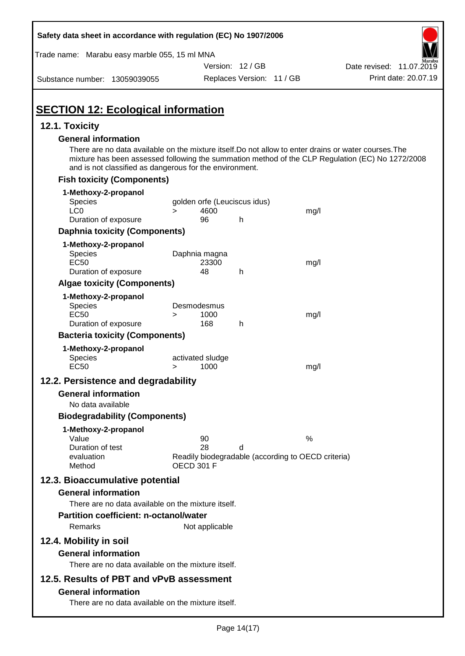| Safety data sheet in accordance with regulation (EC) No 1907/2006                                                                                                                              |                                                |                           |                                                         |                                                                                                  |
|------------------------------------------------------------------------------------------------------------------------------------------------------------------------------------------------|------------------------------------------------|---------------------------|---------------------------------------------------------|--------------------------------------------------------------------------------------------------|
| Trade name: Marabu easy marble 055, 15 ml MNA                                                                                                                                                  |                                                |                           |                                                         |                                                                                                  |
|                                                                                                                                                                                                |                                                | Version: 12 / GB          |                                                         | Date revised: 11.07.2019                                                                         |
| Substance number: 13059039055                                                                                                                                                                  |                                                | Replaces Version: 11 / GB |                                                         | Print date: 20.07.19                                                                             |
| <b>SECTION 12: Ecological information</b>                                                                                                                                                      |                                                |                           |                                                         |                                                                                                  |
| 12.1. Toxicity                                                                                                                                                                                 |                                                |                           |                                                         |                                                                                                  |
| <b>General information</b><br>There are no data available on the mixture itself. Do not allow to enter drains or water courses. The<br>and is not classified as dangerous for the environment. |                                                |                           |                                                         | mixture has been assessed following the summation method of the CLP Regulation (EC) No 1272/2008 |
| <b>Fish toxicity (Components)</b>                                                                                                                                                              |                                                |                           |                                                         |                                                                                                  |
| 1-Methoxy-2-propanol<br><b>Species</b><br>LC <sub>0</sub>                                                                                                                                      | golden orfe (Leuciscus idus)<br>4600<br>$\geq$ |                           | mg/l                                                    |                                                                                                  |
| Duration of exposure                                                                                                                                                                           | 96                                             | h                         |                                                         |                                                                                                  |
| <b>Daphnia toxicity (Components)</b>                                                                                                                                                           |                                                |                           |                                                         |                                                                                                  |
| 1-Methoxy-2-propanol<br><b>Species</b><br><b>EC50</b><br>Duration of exposure                                                                                                                  | Daphnia magna<br>23300<br>48                   | h                         | mg/l                                                    |                                                                                                  |
| <b>Algae toxicity (Components)</b>                                                                                                                                                             |                                                |                           |                                                         |                                                                                                  |
| 1-Methoxy-2-propanol<br><b>Species</b><br><b>EC50</b><br>Duration of exposure                                                                                                                  | Desmodesmus<br>1000<br>$\geq$<br>168           | h                         | mg/l                                                    |                                                                                                  |
| <b>Bacteria toxicity (Components)</b>                                                                                                                                                          |                                                |                           |                                                         |                                                                                                  |
| 1-Methoxy-2-propanol<br>Species<br><b>EC50</b>                                                                                                                                                 | activated sludge<br>1000<br>$\geq$             |                           | mg/l                                                    |                                                                                                  |
| 12.2. Persistence and degradability                                                                                                                                                            |                                                |                           |                                                         |                                                                                                  |
| <b>General information</b><br>No data available                                                                                                                                                |                                                |                           |                                                         |                                                                                                  |
| <b>Biodegradability (Components)</b>                                                                                                                                                           |                                                |                           |                                                         |                                                                                                  |
| 1-Methoxy-2-propanol<br>Value<br>Duration of test<br>evaluation<br>Method                                                                                                                      | 90<br>28<br><b>OECD 301 F</b>                  | d                         | %<br>Readily biodegradable (according to OECD criteria) |                                                                                                  |
| 12.3. Bioaccumulative potential                                                                                                                                                                |                                                |                           |                                                         |                                                                                                  |
| <b>General information</b><br>There are no data available on the mixture itself.                                                                                                               |                                                |                           |                                                         |                                                                                                  |
| <b>Partition coefficient: n-octanol/water</b><br>Remarks                                                                                                                                       | Not applicable                                 |                           |                                                         |                                                                                                  |
| 12.4. Mobility in soil                                                                                                                                                                         |                                                |                           |                                                         |                                                                                                  |
| <b>General information</b><br>There are no data available on the mixture itself.                                                                                                               |                                                |                           |                                                         |                                                                                                  |
| 12.5. Results of PBT and vPvB assessment<br><b>General information</b><br>There are no data available on the mixture itself.                                                                   |                                                |                           |                                                         |                                                                                                  |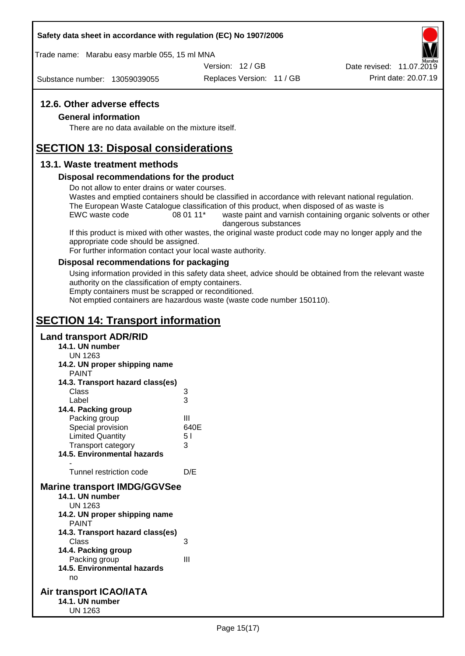## **Safety data sheet in accordance with regulation (EC) No 1907/2006**

Trade name: Marabu easy marble 055, 15 ml MNA

Version: 12 / GB

Substance number: 13059039055

Replaces Version: 11 / GB Print date: 20.07.19 Date revised: 11.07.2019

# **12.6. Other adverse effects**

## **General information**

There are no data available on the mixture itself.

# **SECTION 13: Disposal considerations**

# **13.1. Waste treatment methods**

## **Disposal recommendations for the product**

Do not allow to enter drains or water courses.

Wastes and emptied containers should be classified in accordance with relevant national regulation. The European Waste Catalogue classification of this product, when disposed of as waste is

EWC waste code 08 01 11<sup>\*</sup> waste paint and varnish containing organic solvents or other dangerous substances

If this product is mixed with other wastes, the original waste product code may no longer apply and the appropriate code should be assigned.

For further information contact your local waste authority.

## **Disposal recommendations for packaging**

Using information provided in this safety data sheet, advice should be obtained from the relevant waste authority on the classification of empty containers.

Empty containers must be scrapped or reconditioned.

Not emptied containers are hazardous waste (waste code number 150110).

# **SECTION 14: Transport information**

# **Land transport ADR/RID**

- **14.1. UN number**
	- UN 1263
- **14.2. UN proper shipping name**
	- **PAINT**

| 14.3. Transport hazard class(es)    |      |
|-------------------------------------|------|
| Class                               | 3    |
| Label                               | 3    |
| 14.4. Packing group                 |      |
| Packing group                       | Ш    |
| Special provision                   | 640E |
| <b>Limited Quantity</b>             | 51   |
| <b>Transport category</b>           | 3    |
| <b>14.5. Environmental hazards</b>  |      |
|                                     |      |
| Tunnel restriction code             | D/E  |
| <b>Marine transport IMDG/GGVSee</b> |      |
| 14.1. UN number                     |      |
| UN 1263                             |      |
| 14.2. UN proper shipping name       |      |
| <b>PAINT</b>                        |      |
| 14.3. Transport hazard class(es)    |      |
| Class                               | 3    |
| 14.4. Packing group                 |      |
| Packing group                       | Ш    |
| <b>14.5. Environmental hazards</b>  |      |
| no                                  |      |

## **Air transport ICAO/IATA 14.1. UN number** UN 1263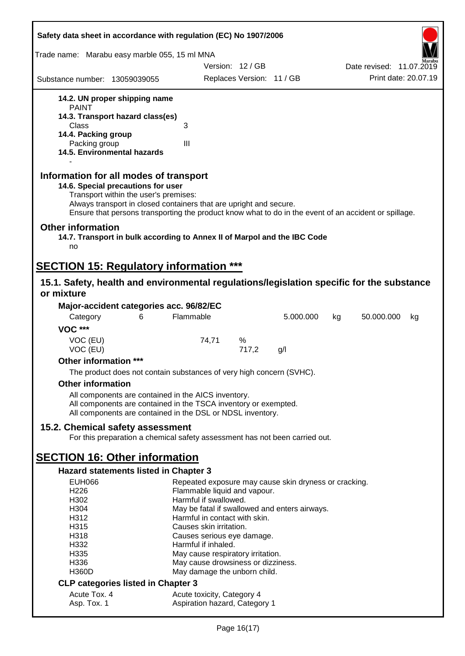| Safety data sheet in accordance with regulation (EC) No 1907/2006                                                                                                                                                                                                                                                                |                                                             |                           |    |                          |  |
|----------------------------------------------------------------------------------------------------------------------------------------------------------------------------------------------------------------------------------------------------------------------------------------------------------------------------------|-------------------------------------------------------------|---------------------------|----|--------------------------|--|
| Trade name: Marabu easy marble 055, 15 ml MNA                                                                                                                                                                                                                                                                                    |                                                             |                           |    |                          |  |
|                                                                                                                                                                                                                                                                                                                                  | Version: 12/GB                                              |                           |    | Date revised: 11.07.2019 |  |
| Substance number: 13059039055                                                                                                                                                                                                                                                                                                    |                                                             | Replaces Version: 11 / GB |    | Print date: 20.07.19     |  |
| 14.2. UN proper shipping name                                                                                                                                                                                                                                                                                                    |                                                             |                           |    |                          |  |
| <b>PAINT</b><br>14.3. Transport hazard class(es)                                                                                                                                                                                                                                                                                 |                                                             |                           |    |                          |  |
| Class                                                                                                                                                                                                                                                                                                                            | 3                                                           |                           |    |                          |  |
| 14.4. Packing group                                                                                                                                                                                                                                                                                                              |                                                             |                           |    |                          |  |
| Packing group<br>14.5. Environmental hazards                                                                                                                                                                                                                                                                                     | III                                                         |                           |    |                          |  |
| Information for all modes of transport<br>14.6. Special precautions for user<br>Transport within the user's premises:<br>Always transport in closed containers that are upright and secure.<br>Ensure that persons transporting the product know what to do in the event of an accident or spillage.<br><b>Other information</b> |                                                             |                           |    |                          |  |
| 14.7. Transport in bulk according to Annex II of Marpol and the IBC Code<br>no                                                                                                                                                                                                                                                   |                                                             |                           |    |                          |  |
| <b>SECTION 15: Regulatory information ***</b>                                                                                                                                                                                                                                                                                    |                                                             |                           |    |                          |  |
| 15.1. Safety, health and environmental regulations/legislation specific for the substance<br>or mixture                                                                                                                                                                                                                          |                                                             |                           |    |                          |  |
| Major-accident categories acc. 96/82/EC                                                                                                                                                                                                                                                                                          |                                                             |                           |    |                          |  |
| Category<br>6                                                                                                                                                                                                                                                                                                                    | Flammable                                                   | 5.000.000                 | kg | 50.000.000<br>kg         |  |
| <b>VOC ***</b>                                                                                                                                                                                                                                                                                                                   |                                                             |                           |    |                          |  |
| VOC (EU)<br>VOC (EU)                                                                                                                                                                                                                                                                                                             | 74,71<br>%                                                  | 717,2<br>g/l              |    |                          |  |
| Other information ***                                                                                                                                                                                                                                                                                                            |                                                             |                           |    |                          |  |
| The product does not contain substances of very high concern (SVHC).                                                                                                                                                                                                                                                             |                                                             |                           |    |                          |  |
| <b>Other information</b>                                                                                                                                                                                                                                                                                                         |                                                             |                           |    |                          |  |
| All components are contained in the AICS inventory.<br>All components are contained in the TSCA inventory or exempted.<br>All components are contained in the DSL or NDSL inventory.                                                                                                                                             |                                                             |                           |    |                          |  |
| 15.2. Chemical safety assessment<br>For this preparation a chemical safety assessment has not been carried out.                                                                                                                                                                                                                  |                                                             |                           |    |                          |  |
| <b>SECTION 16: Other information</b>                                                                                                                                                                                                                                                                                             |                                                             |                           |    |                          |  |
| <b>Hazard statements listed in Chapter 3</b>                                                                                                                                                                                                                                                                                     |                                                             |                           |    |                          |  |
| <b>EUH066</b>                                                                                                                                                                                                                                                                                                                    | Repeated exposure may cause skin dryness or cracking.       |                           |    |                          |  |
| H226                                                                                                                                                                                                                                                                                                                             | Flammable liquid and vapour.                                |                           |    |                          |  |
| H302                                                                                                                                                                                                                                                                                                                             | Harmful if swallowed.                                       |                           |    |                          |  |
| H304                                                                                                                                                                                                                                                                                                                             | May be fatal if swallowed and enters airways.               |                           |    |                          |  |
| H312                                                                                                                                                                                                                                                                                                                             | Harmful in contact with skin.                               |                           |    |                          |  |
| H315<br>H318                                                                                                                                                                                                                                                                                                                     | Causes skin irritation.<br>Causes serious eye damage.       |                           |    |                          |  |
| H332                                                                                                                                                                                                                                                                                                                             | Harmful if inhaled.                                         |                           |    |                          |  |
| H335                                                                                                                                                                                                                                                                                                                             | May cause respiratory irritation.                           |                           |    |                          |  |
| H336                                                                                                                                                                                                                                                                                                                             | May cause drowsiness or dizziness.                          |                           |    |                          |  |
| <b>H360D</b>                                                                                                                                                                                                                                                                                                                     | May damage the unborn child.                                |                           |    |                          |  |
| <b>CLP categories listed in Chapter 3</b>                                                                                                                                                                                                                                                                                        |                                                             |                           |    |                          |  |
| Acute Tox. 4<br>Asp. Tox. 1                                                                                                                                                                                                                                                                                                      | Acute toxicity, Category 4<br>Aspiration hazard, Category 1 |                           |    |                          |  |
|                                                                                                                                                                                                                                                                                                                                  |                                                             |                           |    |                          |  |